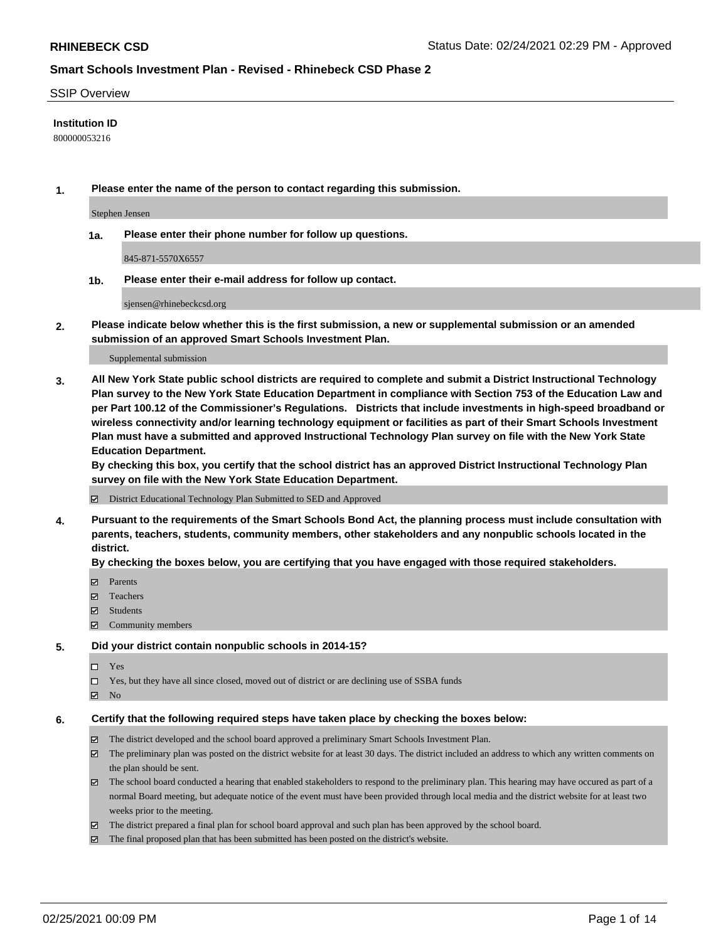### SSIP Overview

### **Institution ID**

800000053216

**1. Please enter the name of the person to contact regarding this submission.**

Stephen Jensen

**1a. Please enter their phone number for follow up questions.**

845-871-5570X6557

**1b. Please enter their e-mail address for follow up contact.**

sjensen@rhinebeckcsd.org

**2. Please indicate below whether this is the first submission, a new or supplemental submission or an amended submission of an approved Smart Schools Investment Plan.**

#### Supplemental submission

**3. All New York State public school districts are required to complete and submit a District Instructional Technology Plan survey to the New York State Education Department in compliance with Section 753 of the Education Law and per Part 100.12 of the Commissioner's Regulations. Districts that include investments in high-speed broadband or wireless connectivity and/or learning technology equipment or facilities as part of their Smart Schools Investment Plan must have a submitted and approved Instructional Technology Plan survey on file with the New York State Education Department.** 

**By checking this box, you certify that the school district has an approved District Instructional Technology Plan survey on file with the New York State Education Department.**

District Educational Technology Plan Submitted to SED and Approved

**4. Pursuant to the requirements of the Smart Schools Bond Act, the planning process must include consultation with parents, teachers, students, community members, other stakeholders and any nonpublic schools located in the district.** 

### **By checking the boxes below, you are certifying that you have engaged with those required stakeholders.**

- **Ø** Parents
- Teachers
- Students
- $\Xi$  Community members

#### **5. Did your district contain nonpublic schools in 2014-15?**

- □ Yes
- □ Yes, but they have all since closed, moved out of district or are declining use of SSBA funds
- **Ø** No

#### **6. Certify that the following required steps have taken place by checking the boxes below:**

- The district developed and the school board approved a preliminary Smart Schools Investment Plan.
- The preliminary plan was posted on the district website for at least 30 days. The district included an address to which any written comments on the plan should be sent.
- The school board conducted a hearing that enabled stakeholders to respond to the preliminary plan. This hearing may have occured as part of a normal Board meeting, but adequate notice of the event must have been provided through local media and the district website for at least two weeks prior to the meeting.
- The district prepared a final plan for school board approval and such plan has been approved by the school board.
- $\boxtimes$  The final proposed plan that has been submitted has been posted on the district's website.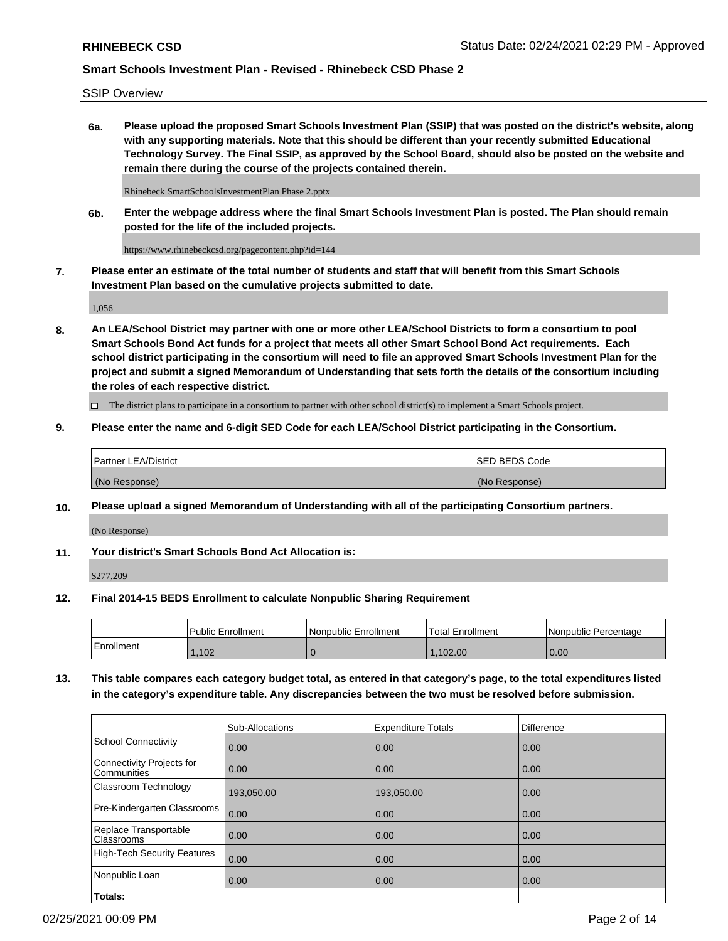SSIP Overview

**6a. Please upload the proposed Smart Schools Investment Plan (SSIP) that was posted on the district's website, along with any supporting materials. Note that this should be different than your recently submitted Educational Technology Survey. The Final SSIP, as approved by the School Board, should also be posted on the website and remain there during the course of the projects contained therein.**

Rhinebeck SmartSchoolsInvestmentPlan Phase 2.pptx

**6b. Enter the webpage address where the final Smart Schools Investment Plan is posted. The Plan should remain posted for the life of the included projects.**

https://www.rhinebeckcsd.org/pagecontent.php?id=144

**7. Please enter an estimate of the total number of students and staff that will benefit from this Smart Schools Investment Plan based on the cumulative projects submitted to date.**

1,056

**8. An LEA/School District may partner with one or more other LEA/School Districts to form a consortium to pool Smart Schools Bond Act funds for a project that meets all other Smart School Bond Act requirements. Each school district participating in the consortium will need to file an approved Smart Schools Investment Plan for the project and submit a signed Memorandum of Understanding that sets forth the details of the consortium including the roles of each respective district.**

 $\Box$  The district plans to participate in a consortium to partner with other school district(s) to implement a Smart Schools project.

### **9. Please enter the name and 6-digit SED Code for each LEA/School District participating in the Consortium.**

| Partner LEA/District | <b>ISED BEDS Code</b> |
|----------------------|-----------------------|
| (No Response)        | (No Response)         |

### **10. Please upload a signed Memorandum of Understanding with all of the participating Consortium partners.**

(No Response)

**11. Your district's Smart Schools Bond Act Allocation is:**

\$277,209

#### **12. Final 2014-15 BEDS Enrollment to calculate Nonpublic Sharing Requirement**

|            | Public Enrollment | Nonpublic Enrollment | Total Enrollment | l Nonpublic Percentage |
|------------|-------------------|----------------------|------------------|------------------------|
| Enrollment | .102              |                      | .102.00          | 0.00                   |

**13. This table compares each category budget total, as entered in that category's page, to the total expenditures listed in the category's expenditure table. Any discrepancies between the two must be resolved before submission.**

|                                          | Sub-Allocations | <b>Expenditure Totals</b> | Difference |
|------------------------------------------|-----------------|---------------------------|------------|
| <b>School Connectivity</b>               | 0.00            | 0.00                      | 0.00       |
| Connectivity Projects for<br>Communities | 0.00            | 0.00                      | 0.00       |
| Classroom Technology                     | 193,050.00      | 193,050.00                | 0.00       |
| Pre-Kindergarten Classrooms              | 0.00            | 0.00                      | 0.00       |
| Replace Transportable<br>Classrooms      | 0.00            | 0.00                      | 0.00       |
| <b>High-Tech Security Features</b>       | 0.00            | 0.00                      | 0.00       |
| Nonpublic Loan                           | 0.00            | 0.00                      | 0.00       |
| Totals:                                  |                 |                           |            |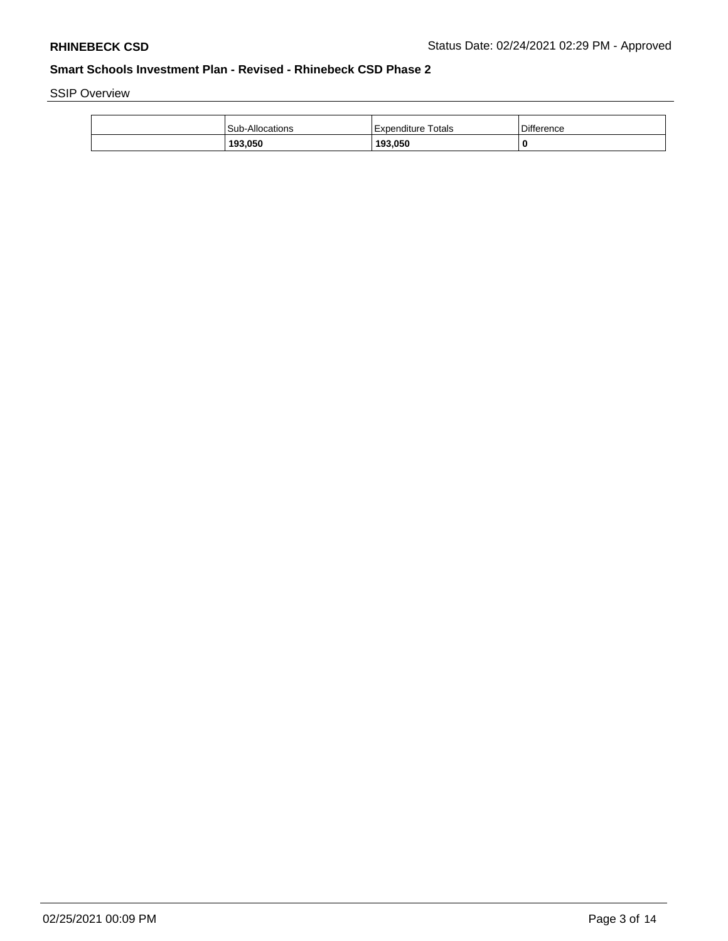SSIP Overview

|  | 193,050                | 193,050            |                   |
|--|------------------------|--------------------|-------------------|
|  | <b>Sub-Allocations</b> | Expenditure Totals | <b>Difference</b> |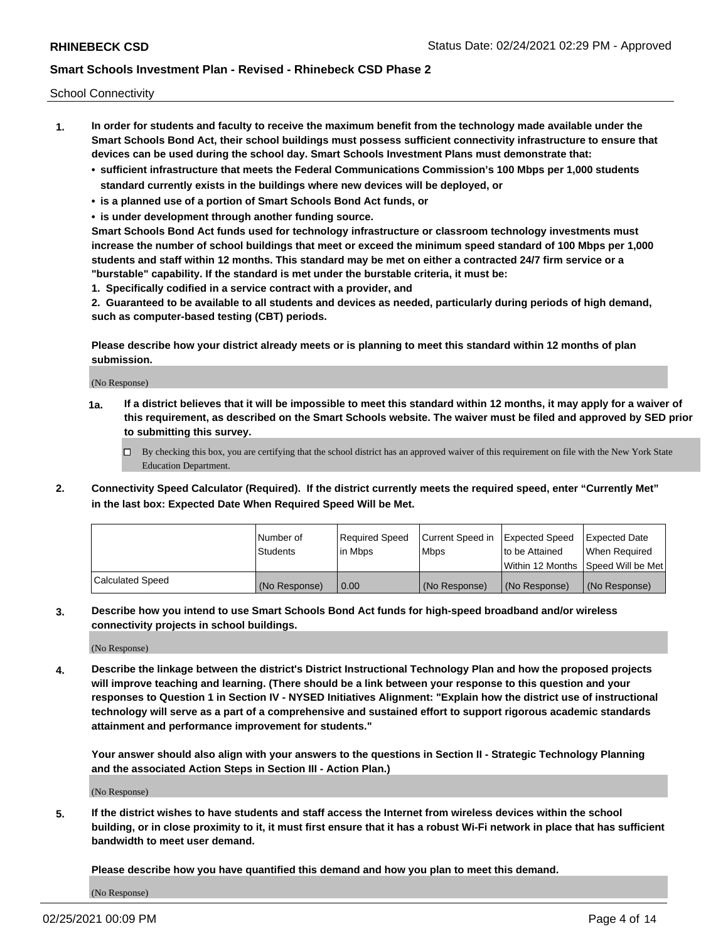School Connectivity

- **1. In order for students and faculty to receive the maximum benefit from the technology made available under the Smart Schools Bond Act, their school buildings must possess sufficient connectivity infrastructure to ensure that devices can be used during the school day. Smart Schools Investment Plans must demonstrate that:**
	- **• sufficient infrastructure that meets the Federal Communications Commission's 100 Mbps per 1,000 students standard currently exists in the buildings where new devices will be deployed, or**
	- **• is a planned use of a portion of Smart Schools Bond Act funds, or**
	- **• is under development through another funding source.**

**Smart Schools Bond Act funds used for technology infrastructure or classroom technology investments must increase the number of school buildings that meet or exceed the minimum speed standard of 100 Mbps per 1,000 students and staff within 12 months. This standard may be met on either a contracted 24/7 firm service or a "burstable" capability. If the standard is met under the burstable criteria, it must be:**

**1. Specifically codified in a service contract with a provider, and**

**2. Guaranteed to be available to all students and devices as needed, particularly during periods of high demand, such as computer-based testing (CBT) periods.**

**Please describe how your district already meets or is planning to meet this standard within 12 months of plan submission.**

(No Response)

**1a. If a district believes that it will be impossible to meet this standard within 12 months, it may apply for a waiver of this requirement, as described on the Smart Schools website. The waiver must be filed and approved by SED prior to submitting this survey.**

 $\Box$  By checking this box, you are certifying that the school district has an approved waiver of this requirement on file with the New York State Education Department.

**2. Connectivity Speed Calculator (Required). If the district currently meets the required speed, enter "Currently Met" in the last box: Expected Date When Required Speed Will be Met.**

|                  | l Number of     | Required Speed | Current Speed in | Expected Speed | Expected Date                        |
|------------------|-----------------|----------------|------------------|----------------|--------------------------------------|
|                  | <b>Students</b> | In Mbps        | <b>Mbps</b>      | to be Attained | When Required                        |
|                  |                 |                |                  |                | Within 12 Months 1Speed Will be Met1 |
| Calculated Speed | (No Response)   | 0.00           | (No Response)    | (No Response)  | l (No Response)                      |

**3. Describe how you intend to use Smart Schools Bond Act funds for high-speed broadband and/or wireless connectivity projects in school buildings.**

(No Response)

**4. Describe the linkage between the district's District Instructional Technology Plan and how the proposed projects will improve teaching and learning. (There should be a link between your response to this question and your responses to Question 1 in Section IV - NYSED Initiatives Alignment: "Explain how the district use of instructional technology will serve as a part of a comprehensive and sustained effort to support rigorous academic standards attainment and performance improvement for students."** 

**Your answer should also align with your answers to the questions in Section II - Strategic Technology Planning and the associated Action Steps in Section III - Action Plan.)**

(No Response)

**5. If the district wishes to have students and staff access the Internet from wireless devices within the school building, or in close proximity to it, it must first ensure that it has a robust Wi-Fi network in place that has sufficient bandwidth to meet user demand.**

**Please describe how you have quantified this demand and how you plan to meet this demand.**

(No Response)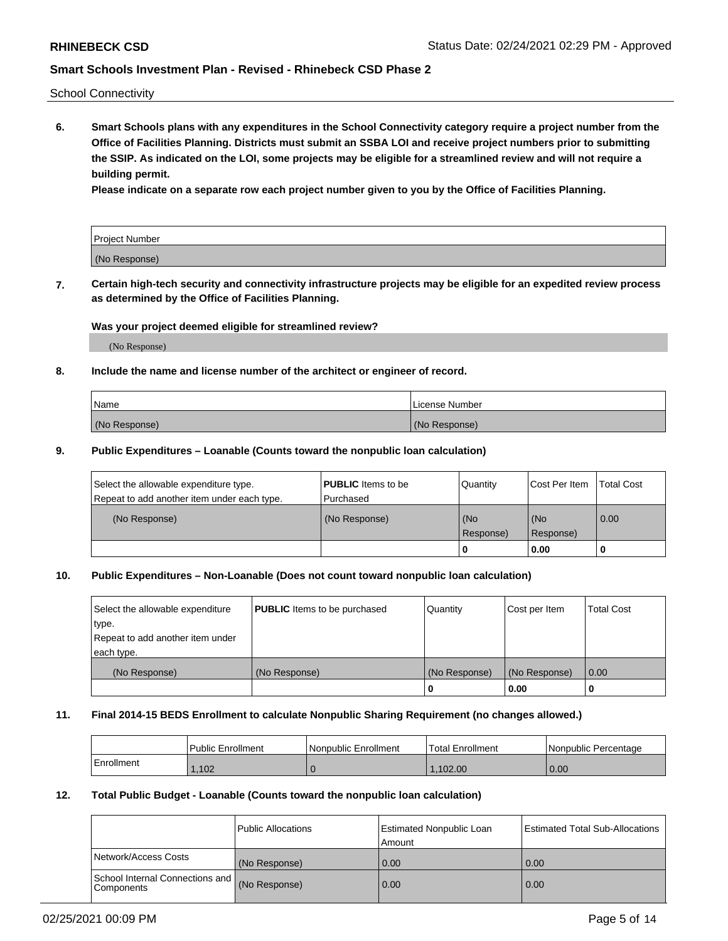School Connectivity

**6. Smart Schools plans with any expenditures in the School Connectivity category require a project number from the Office of Facilities Planning. Districts must submit an SSBA LOI and receive project numbers prior to submitting the SSIP. As indicated on the LOI, some projects may be eligible for a streamlined review and will not require a building permit.**

**Please indicate on a separate row each project number given to you by the Office of Facilities Planning.**

| Project Number |  |
|----------------|--|
| (No Response)  |  |

**7. Certain high-tech security and connectivity infrastructure projects may be eligible for an expedited review process as determined by the Office of Facilities Planning.**

### **Was your project deemed eligible for streamlined review?**

(No Response)

### **8. Include the name and license number of the architect or engineer of record.**

| Name          | License Number |
|---------------|----------------|
| (No Response) | (No Response)  |

### **9. Public Expenditures – Loanable (Counts toward the nonpublic loan calculation)**

| Select the allowable expenditure type.<br>Repeat to add another item under each type. | <b>PUBLIC</b> Items to be<br>l Purchased | Quantity           | Cost Per Item    | <b>Total Cost</b> |
|---------------------------------------------------------------------------------------|------------------------------------------|--------------------|------------------|-------------------|
| (No Response)                                                                         | (No Response)                            | l (No<br>Response) | (No<br>Response) | $\overline{0.00}$ |
|                                                                                       |                                          | O                  | 0.00             |                   |

## **10. Public Expenditures – Non-Loanable (Does not count toward nonpublic loan calculation)**

| Select the allowable expenditure<br>type.<br>Repeat to add another item under<br>each type. | <b>PUBLIC</b> Items to be purchased | Quantity      | Cost per Item | <b>Total Cost</b> |
|---------------------------------------------------------------------------------------------|-------------------------------------|---------------|---------------|-------------------|
| (No Response)                                                                               | (No Response)                       | (No Response) | (No Response) | 0.00              |
|                                                                                             |                                     |               | 0.00          |                   |

#### **11. Final 2014-15 BEDS Enrollment to calculate Nonpublic Sharing Requirement (no changes allowed.)**

|            | Public Enrollment | Nonpublic Enrollment | <b>Total Enrollment</b> | l Nonpublic Percentage |
|------------|-------------------|----------------------|-------------------------|------------------------|
| Enrollment | ,102              |                      | .102.00                 | 0.00                   |

### **12. Total Public Budget - Loanable (Counts toward the nonpublic loan calculation)**

|                                               | Public Allocations | <b>Estimated Nonpublic Loan</b><br>Amount | Estimated Total Sub-Allocations |
|-----------------------------------------------|--------------------|-------------------------------------------|---------------------------------|
| Network/Access Costs                          | (No Response)      | 0.00                                      | 0.00                            |
| School Internal Connections and<br>Components | (No Response)      | 0.00                                      | 0.00                            |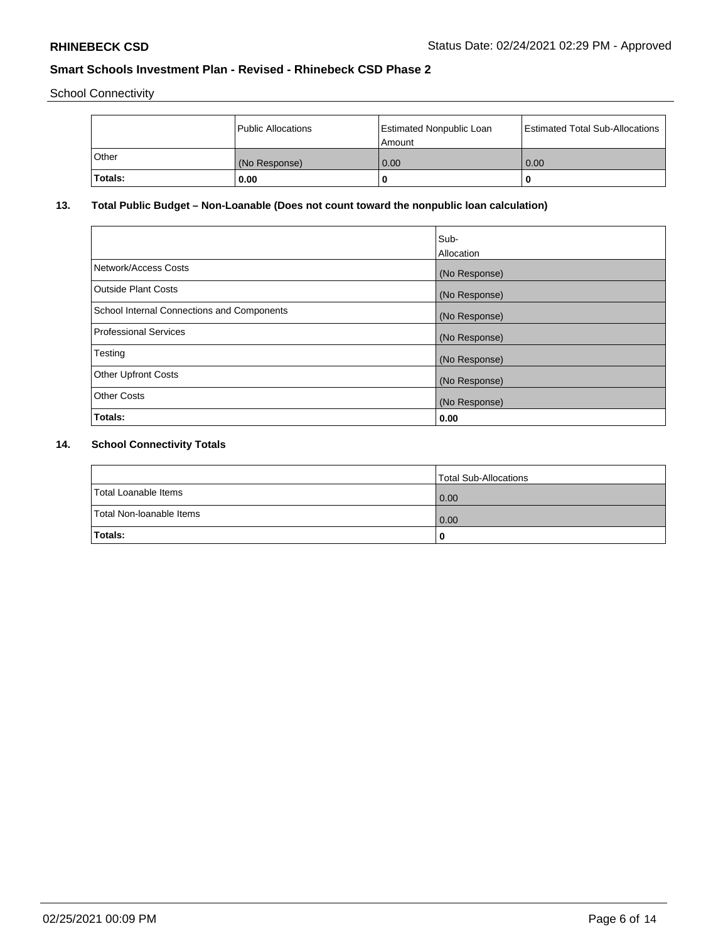School Connectivity

|                | Public Allocations | <b>Estimated Nonpublic Loan</b><br>l Amount | <b>Estimated Total Sub-Allocations</b> |
|----------------|--------------------|---------------------------------------------|----------------------------------------|
| l Other        | (No Response)      | 0.00                                        | 0.00                                   |
| <b>Totals:</b> | 0.00               | 0                                           |                                        |

# **13. Total Public Budget – Non-Loanable (Does not count toward the nonpublic loan calculation)**

| Sub-<br>Allocation |
|--------------------|
| (No Response)      |
| (No Response)      |
| (No Response)      |
| (No Response)      |
| (No Response)      |
| (No Response)      |
| (No Response)      |
| 0.00               |
|                    |

# **14. School Connectivity Totals**

|                          | Total Sub-Allocations |
|--------------------------|-----------------------|
| Total Loanable Items     | 0.00                  |
| Total Non-Ioanable Items | 0.00                  |
| Totals:                  | 0                     |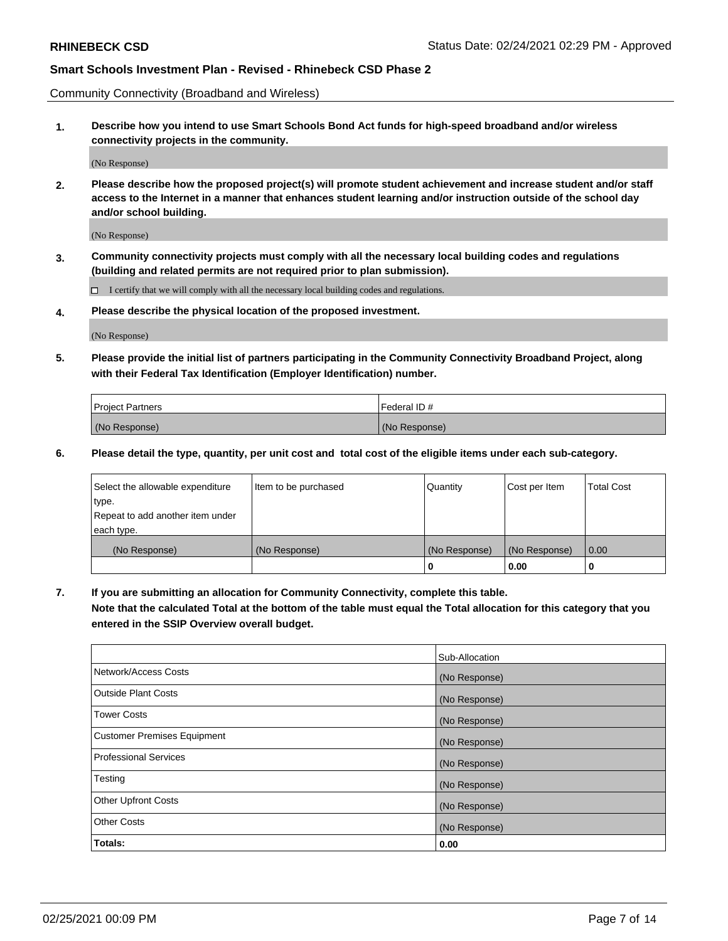Community Connectivity (Broadband and Wireless)

**1. Describe how you intend to use Smart Schools Bond Act funds for high-speed broadband and/or wireless connectivity projects in the community.**

(No Response)

**2. Please describe how the proposed project(s) will promote student achievement and increase student and/or staff access to the Internet in a manner that enhances student learning and/or instruction outside of the school day and/or school building.**

(No Response)

**3. Community connectivity projects must comply with all the necessary local building codes and regulations (building and related permits are not required prior to plan submission).**

 $\Box$  I certify that we will comply with all the necessary local building codes and regulations.

**4. Please describe the physical location of the proposed investment.**

(No Response)

**5. Please provide the initial list of partners participating in the Community Connectivity Broadband Project, along with their Federal Tax Identification (Employer Identification) number.**

| <b>Project Partners</b> | l Federal ID # |
|-------------------------|----------------|
| (No Response)           | (No Response)  |

**6. Please detail the type, quantity, per unit cost and total cost of the eligible items under each sub-category.**

| Select the allowable expenditure | Item to be purchased | Quantity      | Cost per Item | <b>Total Cost</b> |
|----------------------------------|----------------------|---------------|---------------|-------------------|
| type.                            |                      |               |               |                   |
| Repeat to add another item under |                      |               |               |                   |
| each type.                       |                      |               |               |                   |
| (No Response)                    | (No Response)        | (No Response) | (No Response) | 0.00              |
|                                  |                      | U             | 0.00          |                   |

**7. If you are submitting an allocation for Community Connectivity, complete this table.**

**Note that the calculated Total at the bottom of the table must equal the Total allocation for this category that you entered in the SSIP Overview overall budget.**

|                                    | Sub-Allocation |
|------------------------------------|----------------|
| Network/Access Costs               | (No Response)  |
| Outside Plant Costs                | (No Response)  |
| <b>Tower Costs</b>                 | (No Response)  |
| <b>Customer Premises Equipment</b> | (No Response)  |
| <b>Professional Services</b>       | (No Response)  |
| Testing                            | (No Response)  |
| <b>Other Upfront Costs</b>         | (No Response)  |
| <b>Other Costs</b>                 | (No Response)  |
| Totals:                            | 0.00           |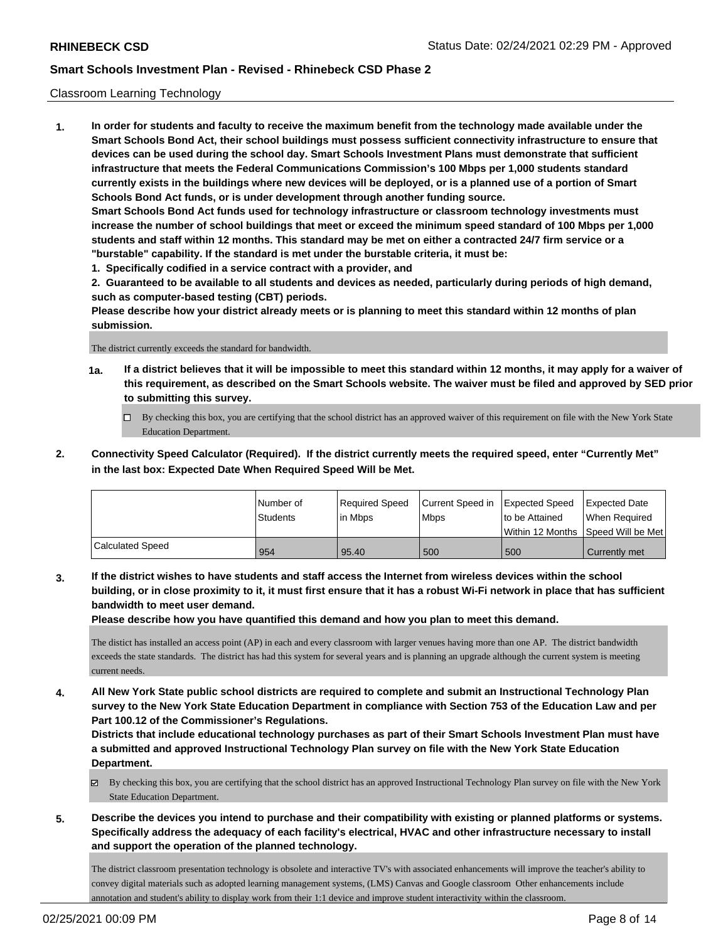### Classroom Learning Technology

**1. In order for students and faculty to receive the maximum benefit from the technology made available under the Smart Schools Bond Act, their school buildings must possess sufficient connectivity infrastructure to ensure that devices can be used during the school day. Smart Schools Investment Plans must demonstrate that sufficient infrastructure that meets the Federal Communications Commission's 100 Mbps per 1,000 students standard currently exists in the buildings where new devices will be deployed, or is a planned use of a portion of Smart Schools Bond Act funds, or is under development through another funding source. Smart Schools Bond Act funds used for technology infrastructure or classroom technology investments must increase the number of school buildings that meet or exceed the minimum speed standard of 100 Mbps per 1,000 students and staff within 12 months. This standard may be met on either a contracted 24/7 firm service or a "burstable" capability. If the standard is met under the burstable criteria, it must be:**

**1. Specifically codified in a service contract with a provider, and**

**2. Guaranteed to be available to all students and devices as needed, particularly during periods of high demand, such as computer-based testing (CBT) periods.**

**Please describe how your district already meets or is planning to meet this standard within 12 months of plan submission.**

The district currently exceeds the standard for bandwidth.

- **1a. If a district believes that it will be impossible to meet this standard within 12 months, it may apply for a waiver of this requirement, as described on the Smart Schools website. The waiver must be filed and approved by SED prior to submitting this survey.**
	- By checking this box, you are certifying that the school district has an approved waiver of this requirement on file with the New York State Education Department.
- **2. Connectivity Speed Calculator (Required). If the district currently meets the required speed, enter "Currently Met" in the last box: Expected Date When Required Speed Will be Met.**

|                  | l Number of     | Required Speed | Current Speed in Expected Speed |                | Expected Date                        |
|------------------|-----------------|----------------|---------------------------------|----------------|--------------------------------------|
|                  | <b>Students</b> | l in Mbps      | <b>Mbps</b>                     | to be Attained | When Required                        |
|                  |                 |                |                                 |                | Within 12 Months 1Speed Will be Met1 |
| Calculated Speed | 954             | 95.40          | 500                             | 500            | Currently met                        |

**3. If the district wishes to have students and staff access the Internet from wireless devices within the school building, or in close proximity to it, it must first ensure that it has a robust Wi-Fi network in place that has sufficient bandwidth to meet user demand.**

**Please describe how you have quantified this demand and how you plan to meet this demand.**

The distict has installed an access point (AP) in each and every classroom with larger venues having more than one AP. The district bandwidth exceeds the state standards. The district has had this system for several years and is planning an upgrade although the current system is meeting current needs.

**4. All New York State public school districts are required to complete and submit an Instructional Technology Plan survey to the New York State Education Department in compliance with Section 753 of the Education Law and per Part 100.12 of the Commissioner's Regulations.**

**Districts that include educational technology purchases as part of their Smart Schools Investment Plan must have a submitted and approved Instructional Technology Plan survey on file with the New York State Education Department.**

- By checking this box, you are certifying that the school district has an approved Instructional Technology Plan survey on file with the New York State Education Department.
- **5. Describe the devices you intend to purchase and their compatibility with existing or planned platforms or systems. Specifically address the adequacy of each facility's electrical, HVAC and other infrastructure necessary to install and support the operation of the planned technology.**

The district classroom presentation technology is obsolete and interactive TV's with associated enhancements will improve the teacher's ability to convey digital materials such as adopted learning management systems, (LMS) Canvas and Google classroom Other enhancements include annotation and student's ability to display work from their 1:1 device and improve student interactivity within the classroom.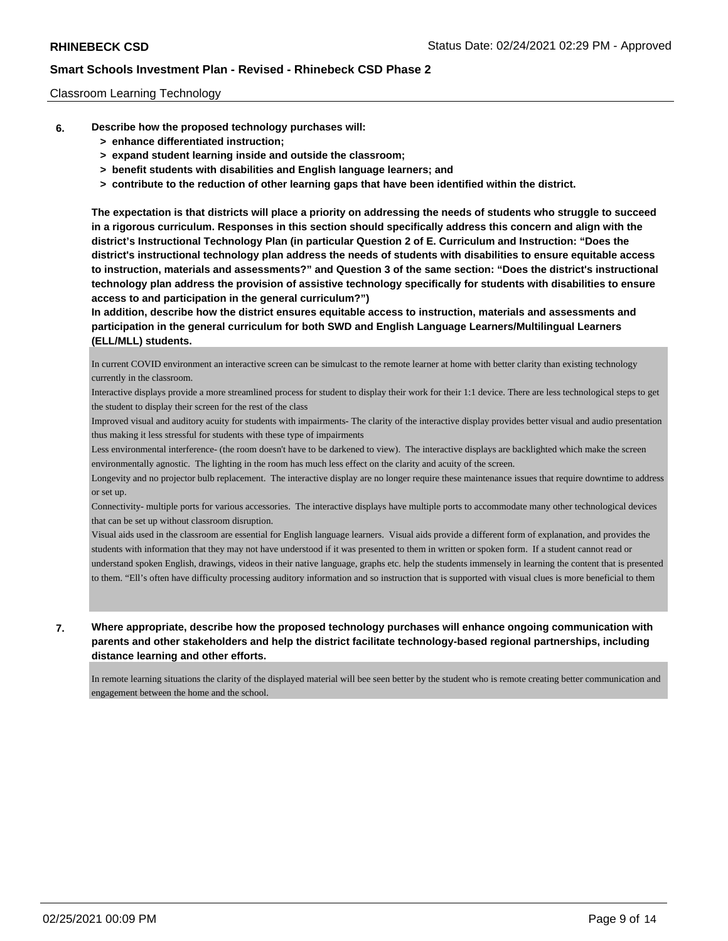### Classroom Learning Technology

- **6. Describe how the proposed technology purchases will:**
	- **> enhance differentiated instruction;**
	- **> expand student learning inside and outside the classroom;**
	- **> benefit students with disabilities and English language learners; and**
	- **> contribute to the reduction of other learning gaps that have been identified within the district.**

**The expectation is that districts will place a priority on addressing the needs of students who struggle to succeed in a rigorous curriculum. Responses in this section should specifically address this concern and align with the district's Instructional Technology Plan (in particular Question 2 of E. Curriculum and Instruction: "Does the district's instructional technology plan address the needs of students with disabilities to ensure equitable access to instruction, materials and assessments?" and Question 3 of the same section: "Does the district's instructional technology plan address the provision of assistive technology specifically for students with disabilities to ensure access to and participation in the general curriculum?")**

**In addition, describe how the district ensures equitable access to instruction, materials and assessments and participation in the general curriculum for both SWD and English Language Learners/Multilingual Learners (ELL/MLL) students.**

In current COVID environment an interactive screen can be simulcast to the remote learner at home with better clarity than existing technology currently in the classroom.

Interactive displays provide a more streamlined process for student to display their work for their 1:1 device. There are less technological steps to get the student to display their screen for the rest of the class

Improved visual and auditory acuity for students with impairments- The clarity of the interactive display provides better visual and audio presentation thus making it less stressful for students with these type of impairments

Less environmental interference- (the room doesn't have to be darkened to view). The interactive displays are backlighted which make the screen environmentally agnostic. The lighting in the room has much less effect on the clarity and acuity of the screen.

Longevity and no projector bulb replacement. The interactive display are no longer require these maintenance issues that require downtime to address or set up.

Connectivity- multiple ports for various accessories. The interactive displays have multiple ports to accommodate many other technological devices that can be set up without classroom disruption.

Visual aids used in the classroom are essential for English language learners. Visual aids provide a different form of explanation, and provides the students with information that they may not have understood if it was presented to them in written or spoken form. If a student cannot read or understand spoken English, drawings, videos in their native language, graphs etc. help the students immensely in learning the content that is presented to them. "Ell's often have difficulty processing auditory information and so instruction that is supported with visual clues is more beneficial to them

## **7. Where appropriate, describe how the proposed technology purchases will enhance ongoing communication with parents and other stakeholders and help the district facilitate technology-based regional partnerships, including distance learning and other efforts.**

In remote learning situations the clarity of the displayed material will bee seen better by the student who is remote creating better communication and engagement between the home and the school.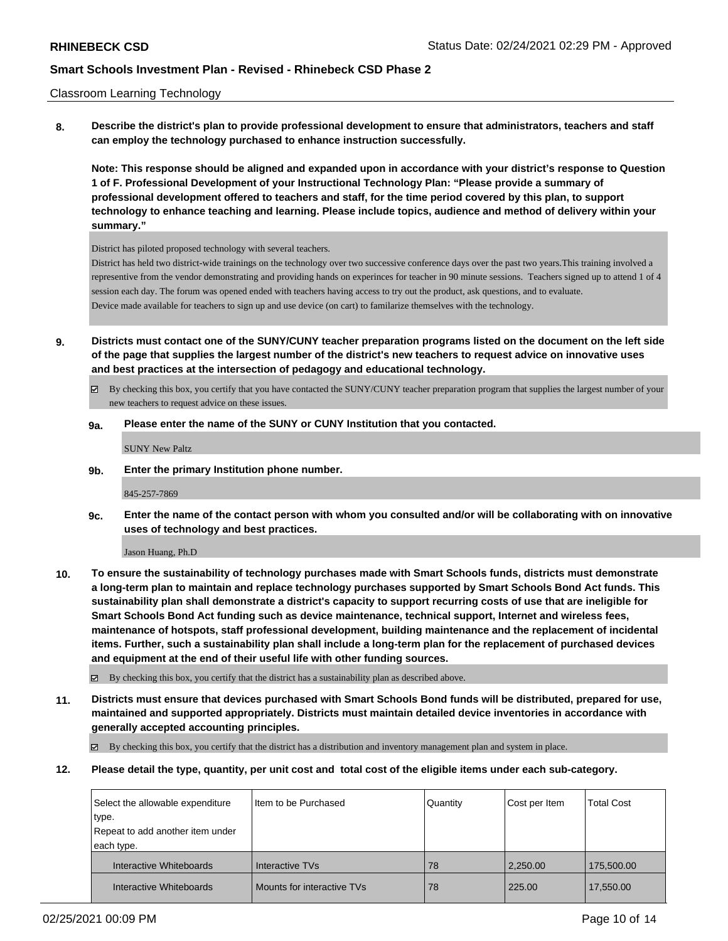### Classroom Learning Technology

**8. Describe the district's plan to provide professional development to ensure that administrators, teachers and staff can employ the technology purchased to enhance instruction successfully.**

**Note: This response should be aligned and expanded upon in accordance with your district's response to Question 1 of F. Professional Development of your Instructional Technology Plan: "Please provide a summary of professional development offered to teachers and staff, for the time period covered by this plan, to support technology to enhance teaching and learning. Please include topics, audience and method of delivery within your summary."**

District has piloted proposed technology with several teachers.

District has held two district-wide trainings on the technology over two successive conference days over the past two years.This training involved a representive from the vendor demonstrating and providing hands on experinces for teacher in 90 minute sessions. Teachers signed up to attend 1 of 4 session each day. The forum was opened ended with teachers having access to try out the product, ask questions, and to evaluate. Device made available for teachers to sign up and use device (on cart) to familarize themselves with the technology.

**9. Districts must contact one of the SUNY/CUNY teacher preparation programs listed on the document on the left side of the page that supplies the largest number of the district's new teachers to request advice on innovative uses and best practices at the intersection of pedagogy and educational technology.**

 $\boxtimes$  By checking this box, you certify that you have contacted the SUNY/CUNY teacher preparation program that supplies the largest number of your new teachers to request advice on these issues.

### **9a. Please enter the name of the SUNY or CUNY Institution that you contacted.**

SUNY New Paltz

**9b. Enter the primary Institution phone number.**

845-257-7869

**9c. Enter the name of the contact person with whom you consulted and/or will be collaborating with on innovative uses of technology and best practices.**

Jason Huang, Ph.D

**10. To ensure the sustainability of technology purchases made with Smart Schools funds, districts must demonstrate a long-term plan to maintain and replace technology purchases supported by Smart Schools Bond Act funds. This sustainability plan shall demonstrate a district's capacity to support recurring costs of use that are ineligible for Smart Schools Bond Act funding such as device maintenance, technical support, Internet and wireless fees, maintenance of hotspots, staff professional development, building maintenance and the replacement of incidental items. Further, such a sustainability plan shall include a long-term plan for the replacement of purchased devices and equipment at the end of their useful life with other funding sources.**

By checking this box, you certify that the district has a sustainability plan as described above.

**11. Districts must ensure that devices purchased with Smart Schools Bond funds will be distributed, prepared for use, maintained and supported appropriately. Districts must maintain detailed device inventories in accordance with generally accepted accounting principles.**

 $\boxtimes$  By checking this box, you certify that the district has a distribution and inventory management plan and system in place.

**12. Please detail the type, quantity, per unit cost and total cost of the eligible items under each sub-category.**

| Select the allowable expenditure | I Item to be Purchased     | Quantity | Cost per Item | <b>Total Cost</b> |
|----------------------------------|----------------------------|----------|---------------|-------------------|
| type.                            |                            |          |               |                   |
| Repeat to add another item under |                            |          |               |                   |
| each type.                       |                            |          |               |                   |
| Interactive Whiteboards          | Interactive TVs            | 78       | 2,250.00      | 175,500.00        |
| Interactive Whiteboards          | Mounts for interactive TVs | 78       | 225.00        | 17,550.00         |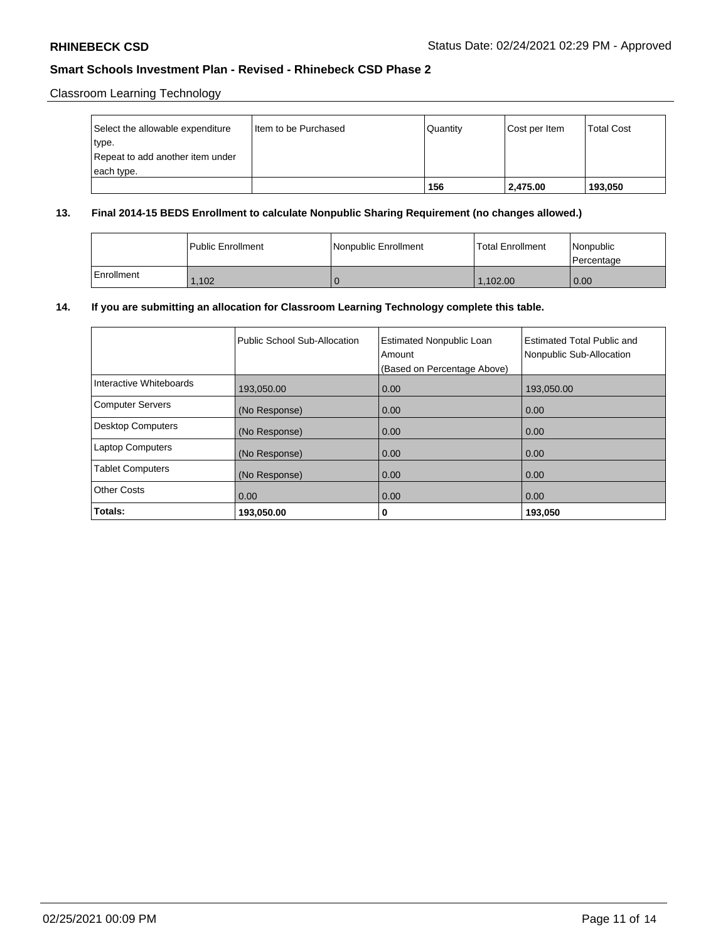Classroom Learning Technology

| Select the allowable expenditure | I Item to be Purchased | Quantity | Cost per Item | <b>Total Cost</b> |
|----------------------------------|------------------------|----------|---------------|-------------------|
| type.                            |                        |          |               |                   |
| Repeat to add another item under |                        |          |               |                   |
| each type.                       |                        |          |               |                   |
|                                  |                        | 156      | 2,475.00      | 193,050           |

### **13. Final 2014-15 BEDS Enrollment to calculate Nonpublic Sharing Requirement (no changes allowed.)**

|            | l Public Enrollment | Nonpublic Enrollment | Total Enrollment | l Nonpublic<br>l Percentage |
|------------|---------------------|----------------------|------------------|-----------------------------|
| Enrollment | .102                |                      | 1.102.00         | $\overline{0.00}$           |

## **14. If you are submitting an allocation for Classroom Learning Technology complete this table.**

|                          | Public School Sub-Allocation | <b>Estimated Nonpublic Loan</b><br>Amount<br>(Based on Percentage Above) | Estimated Total Public and<br>Nonpublic Sub-Allocation |
|--------------------------|------------------------------|--------------------------------------------------------------------------|--------------------------------------------------------|
| Interactive Whiteboards  | 193,050.00                   | 0.00                                                                     | 193,050.00                                             |
| <b>Computer Servers</b>  | (No Response)                | 0.00                                                                     | 0.00                                                   |
| <b>Desktop Computers</b> | (No Response)                | 0.00                                                                     | 0.00                                                   |
| <b>Laptop Computers</b>  | (No Response)                | 0.00                                                                     | 0.00                                                   |
| <b>Tablet Computers</b>  | (No Response)                | 0.00                                                                     | 0.00                                                   |
| <b>Other Costs</b>       | 0.00                         | 0.00                                                                     | 0.00                                                   |
| Totals:                  | 193,050.00                   | 0                                                                        | 193,050                                                |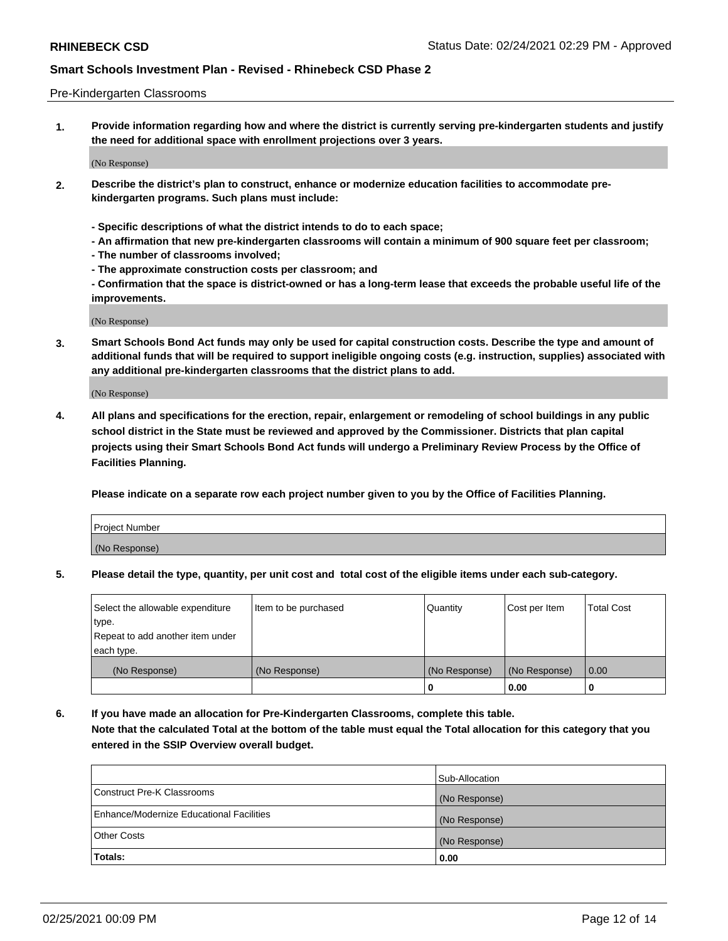#### Pre-Kindergarten Classrooms

**1. Provide information regarding how and where the district is currently serving pre-kindergarten students and justify the need for additional space with enrollment projections over 3 years.**

(No Response)

- **2. Describe the district's plan to construct, enhance or modernize education facilities to accommodate prekindergarten programs. Such plans must include:**
	- **Specific descriptions of what the district intends to do to each space;**
	- **An affirmation that new pre-kindergarten classrooms will contain a minimum of 900 square feet per classroom;**
	- **The number of classrooms involved;**
	- **The approximate construction costs per classroom; and**
	- **Confirmation that the space is district-owned or has a long-term lease that exceeds the probable useful life of the improvements.**

(No Response)

**3. Smart Schools Bond Act funds may only be used for capital construction costs. Describe the type and amount of additional funds that will be required to support ineligible ongoing costs (e.g. instruction, supplies) associated with any additional pre-kindergarten classrooms that the district plans to add.**

(No Response)

**4. All plans and specifications for the erection, repair, enlargement or remodeling of school buildings in any public school district in the State must be reviewed and approved by the Commissioner. Districts that plan capital projects using their Smart Schools Bond Act funds will undergo a Preliminary Review Process by the Office of Facilities Planning.**

**Please indicate on a separate row each project number given to you by the Office of Facilities Planning.**

| Project Number |  |
|----------------|--|
| (No Response)  |  |
|                |  |

**5. Please detail the type, quantity, per unit cost and total cost of the eligible items under each sub-category.**

| Select the allowable expenditure | Item to be purchased | Quantity      | Cost per Item | <b>Total Cost</b> |
|----------------------------------|----------------------|---------------|---------------|-------------------|
| type.                            |                      |               |               |                   |
| Repeat to add another item under |                      |               |               |                   |
| each type.                       |                      |               |               |                   |
| (No Response)                    | (No Response)        | (No Response) | (No Response) | 0.00              |
|                                  |                      | U             | 0.00          |                   |

**6. If you have made an allocation for Pre-Kindergarten Classrooms, complete this table. Note that the calculated Total at the bottom of the table must equal the Total allocation for this category that you entered in the SSIP Overview overall budget.**

|                                          | Sub-Allocation |
|------------------------------------------|----------------|
| Construct Pre-K Classrooms               | (No Response)  |
| Enhance/Modernize Educational Facilities | (No Response)  |
| <b>Other Costs</b>                       | (No Response)  |
| Totals:                                  | 0.00           |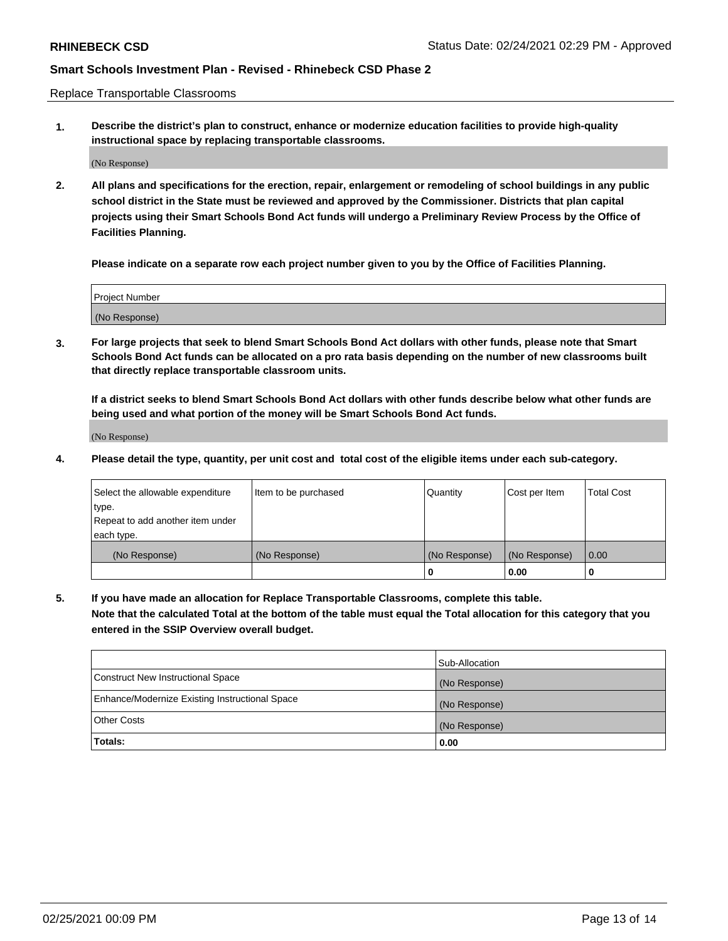Replace Transportable Classrooms

**1. Describe the district's plan to construct, enhance or modernize education facilities to provide high-quality instructional space by replacing transportable classrooms.**

(No Response)

**2. All plans and specifications for the erection, repair, enlargement or remodeling of school buildings in any public school district in the State must be reviewed and approved by the Commissioner. Districts that plan capital projects using their Smart Schools Bond Act funds will undergo a Preliminary Review Process by the Office of Facilities Planning.**

**Please indicate on a separate row each project number given to you by the Office of Facilities Planning.**

| Project Number |  |
|----------------|--|
|                |  |
|                |  |
|                |  |
| (No Response)  |  |
|                |  |
|                |  |

**3. For large projects that seek to blend Smart Schools Bond Act dollars with other funds, please note that Smart Schools Bond Act funds can be allocated on a pro rata basis depending on the number of new classrooms built that directly replace transportable classroom units.**

**If a district seeks to blend Smart Schools Bond Act dollars with other funds describe below what other funds are being used and what portion of the money will be Smart Schools Bond Act funds.**

(No Response)

**4. Please detail the type, quantity, per unit cost and total cost of the eligible items under each sub-category.**

| Select the allowable expenditure | Item to be purchased | Quantity      | Cost per Item | Total Cost |
|----------------------------------|----------------------|---------------|---------------|------------|
| ∣type.                           |                      |               |               |            |
| Repeat to add another item under |                      |               |               |            |
| each type.                       |                      |               |               |            |
| (No Response)                    | (No Response)        | (No Response) | (No Response) | 0.00       |
|                                  |                      | u             | 0.00          |            |

**5. If you have made an allocation for Replace Transportable Classrooms, complete this table. Note that the calculated Total at the bottom of the table must equal the Total allocation for this category that you entered in the SSIP Overview overall budget.**

|                                                | Sub-Allocation |
|------------------------------------------------|----------------|
| Construct New Instructional Space              | (No Response)  |
| Enhance/Modernize Existing Instructional Space | (No Response)  |
| Other Costs                                    | (No Response)  |
| Totals:                                        | 0.00           |